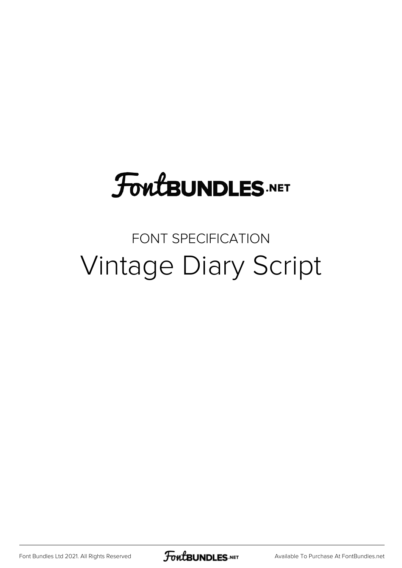# **FoutBUNDLES.NET**

#### FONT SPECIFICATION Vintage Diary Script

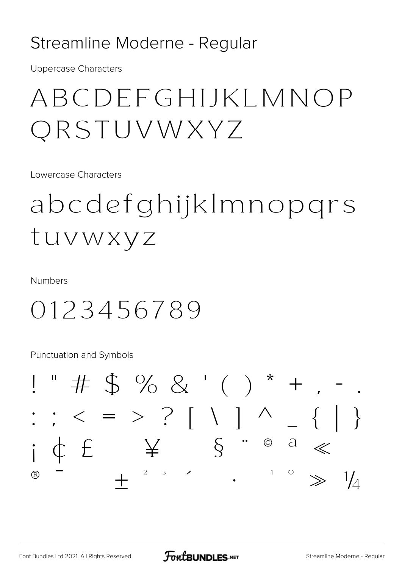#### Streamline Moderne - Regular

**Uppercase Characters** 

## ABCDEFGHIJKLMNOP QRSTUVWXYZ

Lowercase Characters

# abcdefghijklmnopgrs tuvwxyz

**Numbers** 

### 0123456789

**Punctuation and Symbols** 

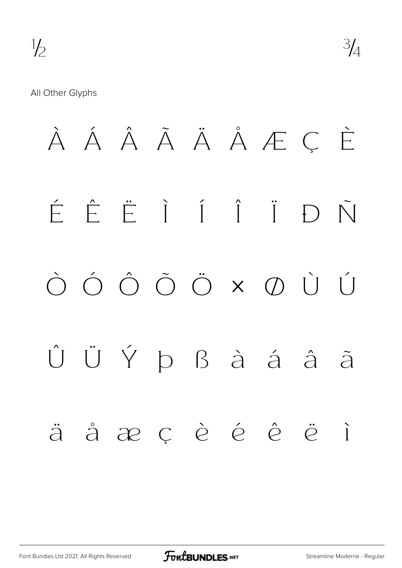#### All Other Glyphs

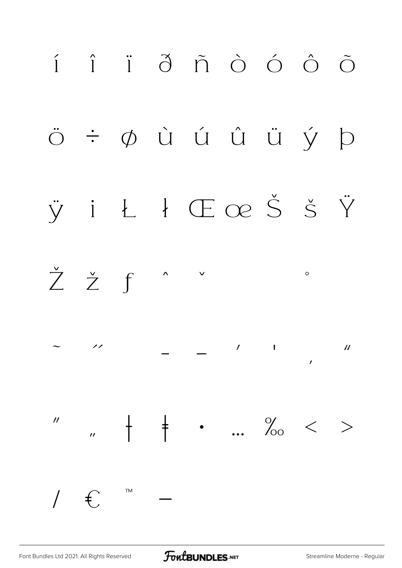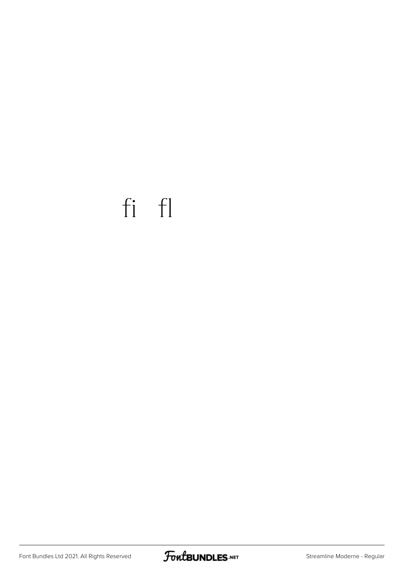## fi fl

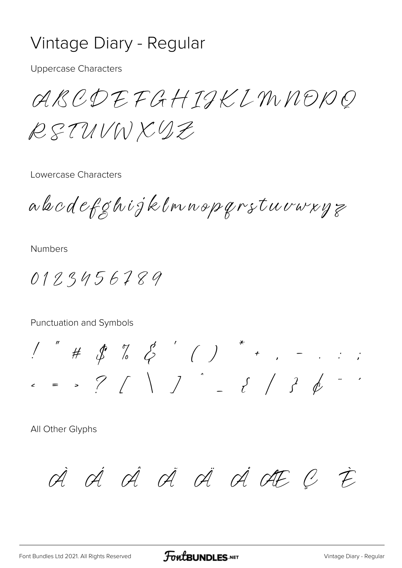#### Vintage Diary - Regular

**Uppercase Characters** 

ARCDEFGHIJKIMNODO RETUVWXYZ

Lowercase Characters

abodeføhijklmnopqrstuvaryz

**Numbers** 

0123456789

Punctuation and Symbols

 $1''$  #  $1''$  %  $2'$  ( ) \* , - . . ;  $\epsilon$  = > ? / \ )  $\qquad$  = { / }  $\phi$  ...

All Other Glyphs

A A A A A A A AF C E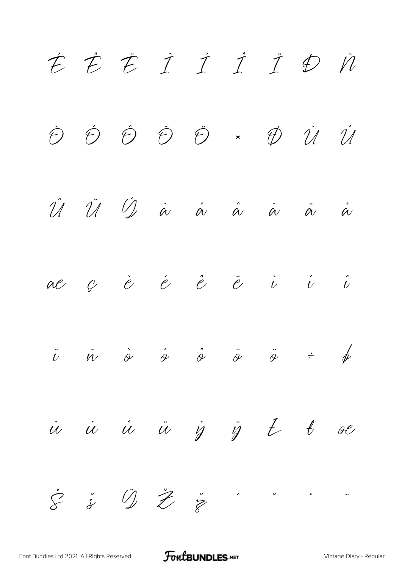